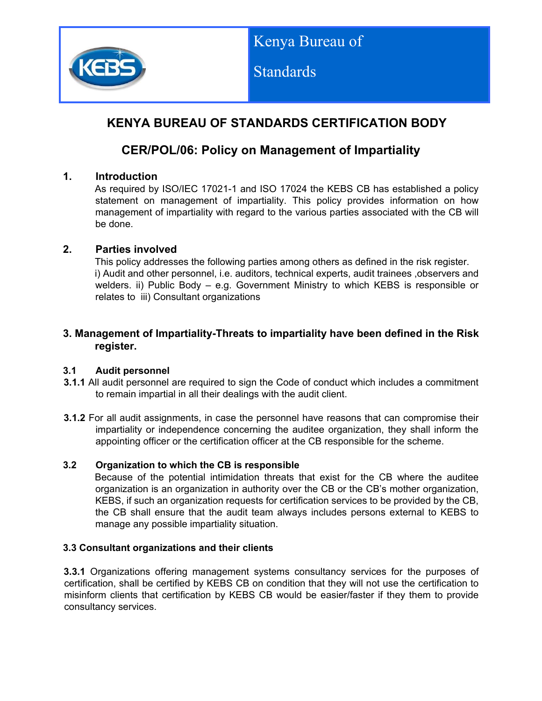

**Standards** 

# **KENYA BUREAU OF STANDARDS CERTIFICATION BODY**

# **CER/POL/06: Policy on Management of Impartiality**

## **1. Introduction**

As required by ISO/IEC 17021-1 and ISO 17024 the KEBS CB has established a policy statement on management of impartiality. This policy provides information on how management of impartiality with regard to the various parties associated with the CB will be done.

## **2. Parties involved**

This policy addresses the following parties among others as defined in the risk register. i) Audit and other personnel, i.e. auditors, technical experts, audit trainees ,observers and welders. ii) Public Body – e.g. Government Ministry to which KEBS is responsible or relates to iii) Consultant organizations

## **3. Management of Impartiality-Threats to impartiality have been defined in the Risk register.**

### **3.1 Audit personnel**

- **3.1.1** All audit personnel are required to sign the Code of conduct which includes a commitment to remain impartial in all their dealings with the audit client.
- **3.1.2** For all audit assignments, in case the personnel have reasons that can compromise their impartiality or independence concerning the auditee organization, they shall inform the appointing officer or the certification officer at the CB responsible for the scheme.

### **3.2 Organization to which the CB is responsible**

Because of the potential intimidation threats that exist for the CB where the auditee organization is an organization in authority over the CB or the CB's mother organization, KEBS, if such an organization requests for certification services to be provided by the CB, the CB shall ensure that the audit team always includes persons external to KEBS to manage any possible impartiality situation.

### **3.3 Consultant organizations and their clients**

**3.3.1** Organizations offering management systems consultancy services for the purposes of certification, shall be certified by KEBS CB on condition that they will not use the certification to misinform clients that certification by KEBS CB would be easier/faster if they them to provide consultancy services.